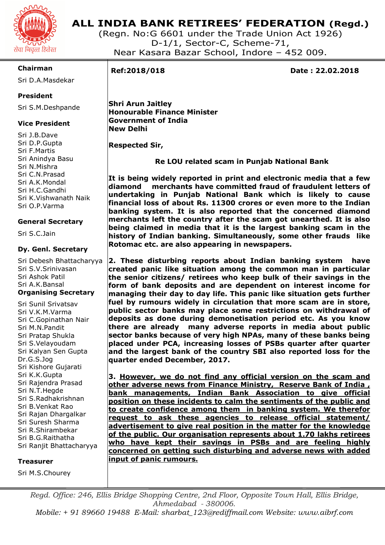

## **ALL INDIA BANK RETIREES' FEDERATION (Regd.)**

(Regn. No:G 6601 under the Trade Union Act 1926) D-1/1, Sector-C, Scheme-71, Near Kasara Bazar School, Indore – 452 009.

### **Chairman**

Sri D.A.Masdekar

### **President**

Sri S.M.Deshpande

### **Vice President**

Sri J.B.Dave Sri D.P.Gupta Sri F.Martis Sri Anindya Basu Sri N.Mishra Sri C.N.Prasad Sri A.K.Mondal Sri H.C.Gandhi Sri K.Vishwanath Naik Sri O.P.Varma

### **General Secretary**

Sri S.C.Jain

### **Dy. Genl. Secretary**

Sri Debesh Bhattacharyya Sri S.V.Srinivasan Sri Ashok Patil Sri A.K.Bansal **Organising Secretary** 

Sri Sunil Srivatsav Sri V.K.M.Varma Sri C.Gopinathan Nair Sri M.N.Pandit Sri Pratap Shukla Sri S.Velayoudam Sri Kalyan Sen Gupta Dr.G.S.Jog Sri Kishore Gujarati Sri K.K.Gupta Sri Rajendra Prasad Sri N.T.Hegde Sri S.Radhakrishnan Sri B.Venkat Rao Sri Rajan Dhargalkar Sri Suresh Sharma Sri R.Shirambekar Sri B.G.Raithatha Sri Ranjit Bhattacharyya

#### **Treasurer**

Sri M.S.Chourey

# I

**Ref:2018/018 Date : 22.02.2018** 

 **Shri Arun Jaitley Honourable Finance Minister Government of India New Delhi** 

 **Respected Sir,** 

 **Re LOU related scam in Punjab National Bank** 

**It is being widely reported in print and electronic media that a few diamond merchants have committed fraud of fraudulent letters of undertaking in Punjab National Bank which is likely to cause financial loss of about Rs. 11300 crores or even more to the Indian banking system. It is also reported that the concerned diamond merchants left the country after the scam got unearthed. It is also being claimed in media that it is the largest banking scam in the history of Indian banking. Simultaneously, some other frauds like Rotomac etc. are also appearing in newspapers.** 

**2. These disturbing reports about Indian banking system have created panic like situation among the common man in particular the senior citizens/ retirees who keep bulk of their savings in the form of bank deposits and are dependent on interest income for managing their day to day life. This panic like situation gets further fuel by rumours widely in circulation that more scam are in store, public sector banks may place some restrictions on withdrawal of deposits as done during demonetisation period etc. As you know there are already many adverse reports in media about public sector banks because of very high NPAs, many of these banks being placed under PCA, increasing losses of PSBs quarter after quarter and the largest bank of the country SBI also reported loss for the quarter ended December, 2017.** 

**3. However, we do not find any official version on the scam and other adverse news from Finance Ministry, Reserve Bank of India , bank managements, Indian Bank Association to give official position on these incidents to calm the sentiments of the public and to create confidence among them in banking system. We therefor request to ask these agencies to release official statement/ advertisement to give real position in the matter for the knowledge of the public. Our organisation represents about 1.70 lakhs retirees who have kept their savings in PSBs and are feeling highly concerned on getting such disturbing and adverse news with added input of panic rumours.** 

*Regd. Office: 246, Ellis Bridge Shopping Centre, 2nd Floor, Opposite Town Hall, Ellis Bridge, Ahmedabad - 380006. Mobile: + 91 89660 19488 E-Mail: sharbat\_123@rediffmail.com Website: www.aibrf.com*